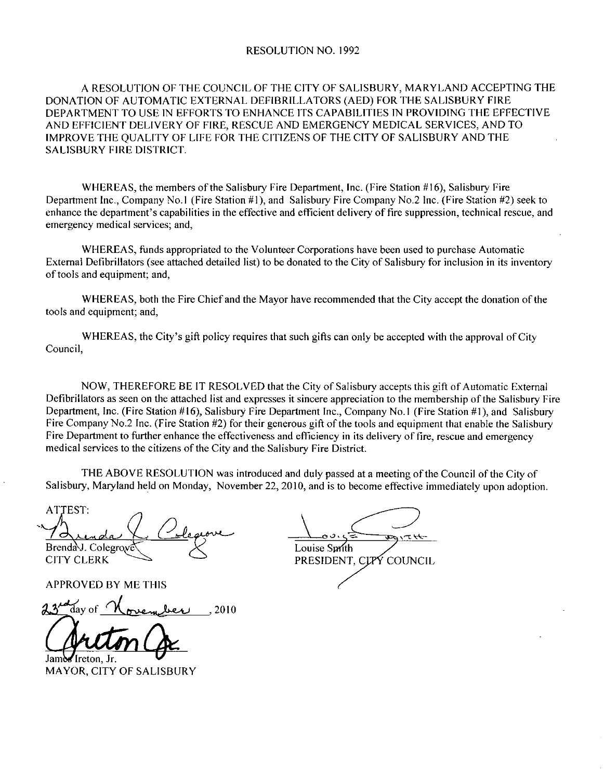## RESOLUTION NO. 1992

A RESOLUTION OF THE COUNCIL OF THE CITY OF SALISBURY, MARYLAND ACCEPTING THE DONATION OF AUTOMATIC EXTERNAL DEFIBRILLATORS (AED) FOR THE SALISBURY FIRE DEPARTMENT TO USE IN EFFORTS TO ENHANCE ITS CAPABILITIES IN PROVIDING THE EFFECTIVE AND EFFICIENT DELIVERY OF FIRE, RESCUE AND EMERGENCY MEDICAL SERVICES, AND TO IMPROVE THE QUALITY OF LIFE FOR THE CITIZENS OF THE CITY OF SALISBURY AND THE SALISBURY FIRE DISTRICT

WHEREAS, the members of the Salisbury Fire Department, Inc. (Fire Station #16), Salisbury Fire<br>Department Inc., Company No.1 (Fire Station #1), and Salisbury Fire Company No.2 Inc. (Fire Station #2) seek to DEPARTMENT TO USE IN EFFORTS TO ENHANCE ITS CAPABILITIES IN PROVIDING THE EFFECTIVI<br>AND EFFICIENT DELIVERY OF FIRE, RESCUE AND EMERGENCY MEDICAL SERVICES, AND TO<br>IMPROVE THE QUALITY OF LIFE FOR THE CITIZENS OF THE CITY OF AND EFFICIENT DELIVERY OF FIRE, RESCUE AND EMERGENCY MEDICAL SERVICES, AND TO IMPROVE THE QUALITY OF LIFE FOR THE CITIZENS OF THE CITY OF SALISBURY AND THE SALISBURY FIRE DISTRICT.<br>
WHEREAS, the members of the Salisbury Fi emergency medical services; and,

WHEREAS funds appropriated to the Volunteer Corporations have been used to purchase Automatic External Defibrillators (see attached detailed list) to be donated to the City of Salisbury for inclusion in its inventory of tools and equipment; and,

WHEREAS, both the Fire Chief and the Mayor have recommended that the City accept the donation of the tools and equipment; and,

WHEREAS, the City's gift policy requires that such gifts can only be accepted with the approval of City Council

NOW, THEREFORE BE IT RESOLVED that the City of Salisbury accepts this gift of Automatic External Defibrillators as seen on the attached list and expresses it sincere appreciation to the membership of the Salisbury Fire<br>Department, Inc. (Fire Station #16), Salisbury Fire Department Inc., Company No.1 (Fire Station #1), WHEREAS, the City's gift policy requires that such gifts can only be accepted with the approval of City<br>Council,<br>NOW, THEREFORE BE IT RESOLVED that the City of Salisbury accepts this gift of Automatic External<br>Defibrillato Defibrillators as seen on the attached list and expresses it sincere appreciation to the membership of the Salisbury Fire Department, Inc. (Fire Station #16), Salisbury Fire Department Inc., Company No.1 (Fire Station #1), Fire Department to further enhance the effectiveness and efficiency in its delivery of fire, rescue and emergency medical services to the citizens of the City and the Salisbury Fire District.

THE ABOVE RESOLUTION was introduced and duly passed at a meeting of the Council of the City of Salisbury, Maryland held on Monday, November 22, 2010, and is to become effective immediately upon adoption.

ATTEST Salisbury,<br>ATTEST:<br>A<br>Brenday,<br>CITY CL. Brenda J. Colegrove CITY CLERK CONSERVERS Louise Sprith ada Colegrove<br>Colegrove ERK<br>ED BY ME THIS<br>of <u>November</u> 2010<br>**tton Ox** 

**APPROVED BY ME THIS** 

 $\epsilon_{\rm{dav \, of}}$ 

Ireton Ir

MAYOR, CITY OF SALISBURY

 $\frac{1}{\frac{1}{\text{ouise Smith}}}$ PRESIDENT, CLPY COUNCIL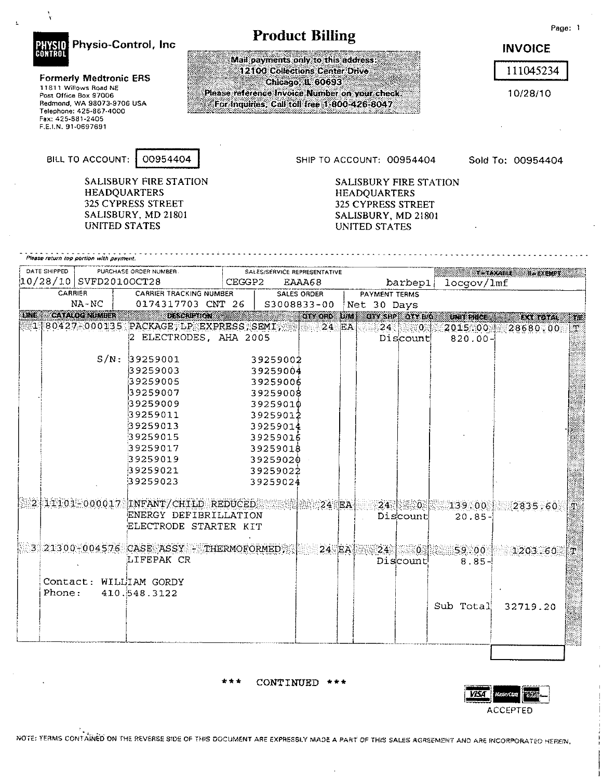|                                                                                                                                                                                                | Physio-Control, Inc                                                                                                                                                                                                |        | <b>Product Billing</b>                                                                                                                                                                              |          |                                                                                                                                                 |                   |                                               | <b>INVOICE</b>                                 | Page: 1  |
|------------------------------------------------------------------------------------------------------------------------------------------------------------------------------------------------|--------------------------------------------------------------------------------------------------------------------------------------------------------------------------------------------------------------------|--------|-----------------------------------------------------------------------------------------------------------------------------------------------------------------------------------------------------|----------|-------------------------------------------------------------------------------------------------------------------------------------------------|-------------------|-----------------------------------------------|------------------------------------------------|----------|
| CONTRO<br><b>Formerly Medtronic ERS</b><br>11811 Willows Road NE<br>Post Office Box 97006<br>Redmond, WA 98073-9706 USA<br>Telephone: 425-867-4000<br>Fax: 425-881-2405<br>F.E.I.N. 91-0697691 |                                                                                                                                                                                                                    |        | Mail payments only to this address:<br>12100 Collections Center Drive<br><b>Chicago, IL 60693</b><br>Please reference Invoice Number on your check.<br>For Inquiries, Call toll free 1-800-426-8047 |          |                                                                                                                                                 |                   |                                               | 111045234<br>10/28/10                          |          |
| BILL TO ACCOUNT:                                                                                                                                                                               | 00954404<br>SALISBURY FIRE STATION<br><b>HEADQUARTERS</b><br>325 CYPRESS STREET<br>SALISBURY, MD 21801<br>UNITED STATES                                                                                            |        |                                                                                                                                                                                                     |          | SHIP TO ACCOUNT: 00954404<br>SALISBURY FIRE STATION<br><b>HEADQUARTERS</b><br><b>325 CYPRESS STREET</b><br>SALISBURY, MD 21801<br>UNITED STATES |                   |                                               | Sold To: 00954404                              |          |
| Please return top portion with payment.<br>DATE SHIPPED<br> 10/28/10  SVFD2010OCT28                                                                                                            | PURCHASE ORDER NUMBER.                                                                                                                                                                                             | CEGGP2 | SALES/SERVICE REPRESENTATIVE<br>EAAA68                                                                                                                                                              |          |                                                                                                                                                 | barbepl           | locgov/lmf                                    | <b>THIAMABLE</b><br><b>HerkEMPT</b>            |          |
| CARRIER                                                                                                                                                                                        | <b>CARRIER TRACKING NUMBER</b>                                                                                                                                                                                     |        | <b>SALES ORDER</b>                                                                                                                                                                                  |          | <b>PAYMENT TERMS</b>                                                                                                                            |                   |                                               |                                                |          |
| NA-NC                                                                                                                                                                                          | 0174317703 CNT 26                                                                                                                                                                                                  |        | S3008833-00                                                                                                                                                                                         |          | Net 30 Days                                                                                                                                     |                   |                                               |                                                |          |
| CATALOG NOMBER<br>$1180427 - 000135$ PACKAGE, LP EXPRESS, SEMI,                                                                                                                                | 2 ELECTRODES, AHA 2005<br>S/N: 39259001<br>39259003<br>39259005<br>39259007<br>39259009<br>39259011<br>39259013<br>39259015<br>39259017<br>39259019<br>39259021<br>39259023<br>2.11101-000017 INFANT/CHILD REDUCED |        | OIY OND LIME<br>39259002<br>39259004<br>39259006<br>39259008<br>39259010<br>39259012<br>39259014<br>39259016<br>39259018<br>39259020<br>39259022<br>39259024<br>$\approx 24$ EA.                    | $24$ EA  | OTY SHP LOTY H/G                                                                                                                                | 24 24<br>Discount | an tenc<br>2015.00<br>$820.00 -$              | Rasidia.<br>28680.00<br>$24$ 0 $13900$ 2835.60 | 跳機<br>N. |
|                                                                                                                                                                                                | ENERGY DEFIBRILLATION<br>ELECTRODE STARTER KIT                                                                                                                                                                     |        |                                                                                                                                                                                                     |          |                                                                                                                                                 | Discount          | $20.85 -$                                     |                                                |          |
| Contact: WILLIAM GORDY<br>Phone:                                                                                                                                                               | 3 21300-004576 CASE ASSY - THERMOFORMED<br>LIFEPAK CR<br>410.548.3122                                                                                                                                              |        |                                                                                                                                                                                                     | $24$ EA. |                                                                                                                                                 | Discount          | $24$ 0.1 59.00 $\pm$<br>$8.85 -$<br>Sub Total | 1203.60<br>32719.20                            | F.       |

 $\bar{\mathbf{z}}$ 

 $\mathcal{S}$ 

\*\*\* CONTINUED \*\*\*



 $\ddot{\phantom{a}}$ 

 $\epsilon$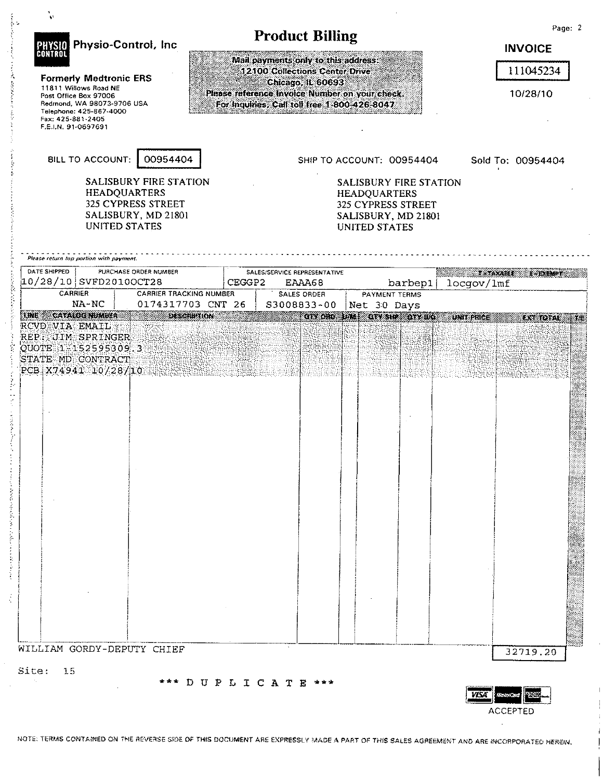| PHYSIO Physio-Control, Inc.<br><b>Formerly Medtronic ERS</b><br>11811 Willows Road NE<br>Post Office Box 97006<br>Redmond, WA 98073-9706 USA<br>Telephone: 425-867-4000<br>Fax: 425-881-2405<br>F.E.I.N. 91-0697691 |                                                                                 | Please reference invoice Number on your check.<br>For Inquiries, Call toll free 1-800-426-8047 | <b>Product Billing</b><br>Mail payments only to this address:<br>12100 Collections Center Drive | Chicago, IL 60693  |      |                                                                                                                                                 |                      |                               | Page: 2<br><b>INVOICE</b><br>111045234<br>10/28/10 |
|---------------------------------------------------------------------------------------------------------------------------------------------------------------------------------------------------------------------|---------------------------------------------------------------------------------|------------------------------------------------------------------------------------------------|-------------------------------------------------------------------------------------------------|--------------------|------|-------------------------------------------------------------------------------------------------------------------------------------------------|----------------------|-------------------------------|----------------------------------------------------|
| BILL TO ACCOUNT:<br><b>HEADQUARTERS</b><br><b>UNITED STATES</b>                                                                                                                                                     | 00954404<br>SALISBURY FIRE STATION<br>325 CYPRESS STREET<br>SALISBURY, MD 21801 |                                                                                                |                                                                                                 |                    |      | SHIP TO ACCOUNT: 00954404<br>SALISBURY FIRE STATION<br><b>HEADQUARTERS</b><br>325 CYPRESS STREET<br>SALISBURY, MD 21801<br><b>UNITED STATES</b> |                      |                               | Sold To: 00954404                                  |
| Please return top portion with payment.<br>DATE SHIPPED<br>$10/28/10$ SVFD2010OCT28                                                                                                                                 | PURCHASE ORDER NUMBER                                                           | CEGGP2                                                                                         | SALES/SERVICE REPRESENTATIVE                                                                    | EAAA68             |      |                                                                                                                                                 | barbep1              | <b>X ANABLE</b><br>locgov/lmf | 计文件文件文件                                            |
| CARRIER<br>NA-NC                                                                                                                                                                                                    | <b>CARRIER TRACKING NUMBER</b>                                                  |                                                                                                |                                                                                                 | <b>SALES ORDER</b> |      | PAYMENT TERMS                                                                                                                                   |                      |                               |                                                    |
| INE CATALOG NIMINA<br><b>RCVD VIA EMAIL</b>                                                                                                                                                                         | 0174317703 CNT 26<br><b>DESCRIPTION</b>                                         |                                                                                                | \$3008833~00                                                                                    | GIV ORD            | ama. | Net 30 Days                                                                                                                                     | <b>OTASHU ATALIC</b> | <b>INIT PHOE</b>              | <b>ENREDIAL</b>                                    |
| QUOTE 1-152595309.3<br>STATE MD CONTRACT<br>PCB X74941 10/28/10                                                                                                                                                     |                                                                                 |                                                                                                |                                                                                                 |                    |      |                                                                                                                                                 |                      |                               |                                                    |
|                                                                                                                                                                                                                     |                                                                                 |                                                                                                |                                                                                                 |                    |      |                                                                                                                                                 |                      |                               |                                                    |

**ACCEPTED**  $\mathcal{L}^{\pm}$ 

 $\overline{1}$ Ť

÷.

 $\dot{\mathbf{j}}$ 

 $\frac{1}{2}$ 

NOTE: TERMS CONTAINED ON THE REVERSE SIDE OF THIS DOCUMENT ARE EXPRESSLY MADE A PART OF THIS SALES AGREEMENT AND ARE INCORPORATED HEREIN,